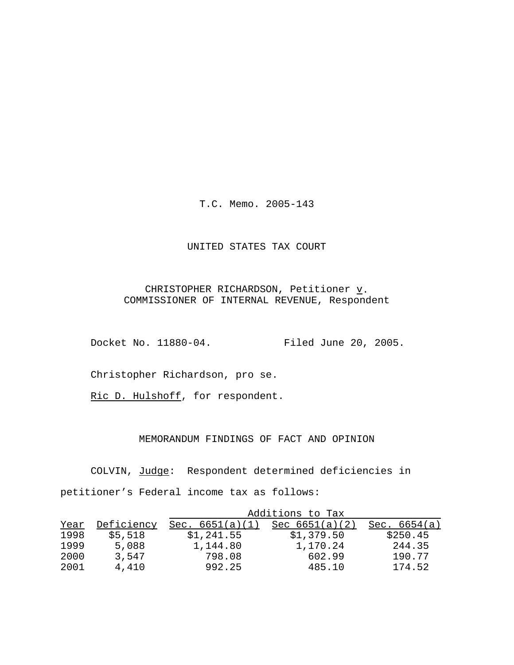T.C. Memo. 2005-143

## UNITED STATES TAX COURT

# CHRISTOPHER RICHARDSON, Petitioner  $\underline{v}$ . COMMISSIONER OF INTERNAL REVENUE, Respondent

Docket No. 11880-04. Filed June 20, 2005.

Christopher Richardson, pro se.

Ric D. Hulshoff, for respondent.

# MEMORANDUM FINDINGS OF FACT AND OPINION

COLVIN, Judge: Respondent determined deficiencies in petitioner's Federal income tax as follows:

|      |            | Additions to Tax  |                  |                 |
|------|------------|-------------------|------------------|-----------------|
| Year | Deficiency | Sec. $6651(a)(1)$ | Sec $6651(a)(2)$ | 6654(a)<br>Sec. |
| 1998 | \$5,518    | \$1,241.55        | \$1,379.50       | \$250.45        |
| 1999 | 5,088      | 1,144.80          | 1,170.24         | 244.35          |
| 2000 | 3,547      | 798.08            | 602.99           | 190.77          |
| 2001 | 4,410      | 992.25            | 485.10           | 174.52          |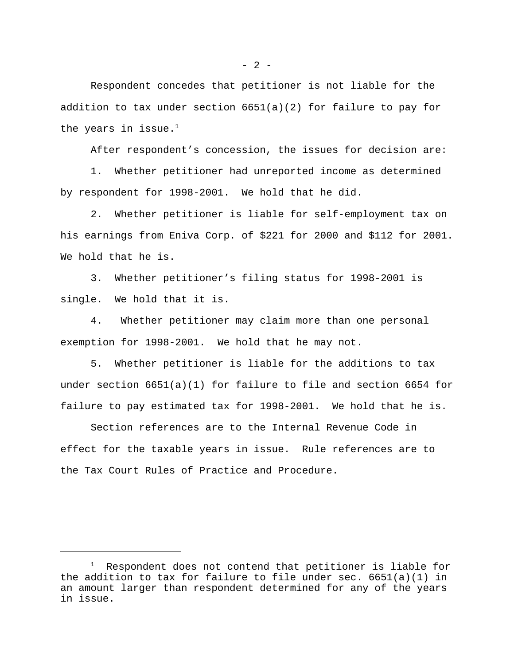$- 2 -$ 

Respondent concedes that petitioner is not liable for the addition to tax under section  $6651(a)(2)$  for failure to pay for the years in issue. $1$ 

After respondent's concession, the issues for decision are:

1. Whether petitioner had unreported income as determined by respondent for 1998-2001. We hold that he did.

2. Whether petitioner is liable for self-employment tax on his earnings from Eniva Corp. of \$221 for 2000 and \$112 for 2001. We hold that he is.

3. Whether petitioner's filing status for 1998-2001 is single. We hold that it is.

4. Whether petitioner may claim more than one personal exemption for 1998-2001. We hold that he may not.

5. Whether petitioner is liable for the additions to tax under section  $6651(a)(1)$  for failure to file and section  $6654$  for failure to pay estimated tax for 1998-2001. We hold that he is.

Section references are to the Internal Revenue Code in effect for the taxable years in issue. Rule references are to the Tax Court Rules of Practice and Procedure.

<sup>&</sup>lt;sup>1</sup> Respondent does not contend that petitioner is liable for the addition to tax for failure to file under sec. 6651(a)(1) in an amount larger than respondent determined for any of the years in issue.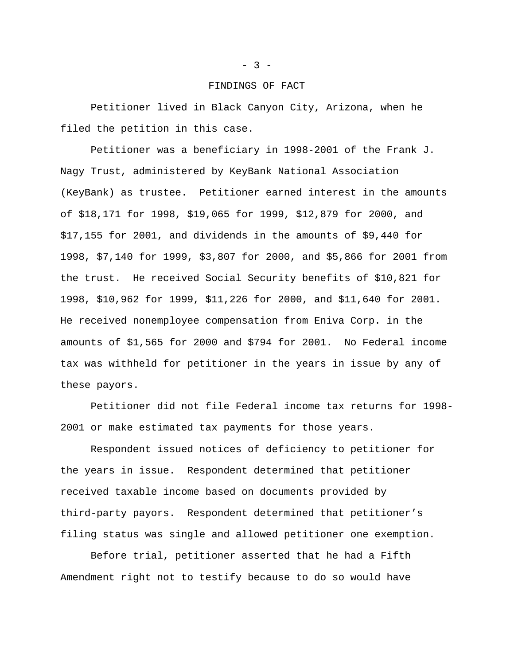#### FINDINGS OF FACT

Petitioner lived in Black Canyon City, Arizona, when he filed the petition in this case.

Petitioner was a beneficiary in 1998-2001 of the Frank J. Nagy Trust, administered by KeyBank National Association (KeyBank) as trustee. Petitioner earned interest in the amounts of \$18,171 for 1998, \$19,065 for 1999, \$12,879 for 2000, and \$17,155 for 2001, and dividends in the amounts of \$9,440 for 1998, \$7,140 for 1999, \$3,807 for 2000, and \$5,866 for 2001 from the trust. He received Social Security benefits of \$10,821 for 1998, \$10,962 for 1999, \$11,226 for 2000, and \$11,640 for 2001. He received nonemployee compensation from Eniva Corp. in the amounts of \$1,565 for 2000 and \$794 for 2001. No Federal income tax was withheld for petitioner in the years in issue by any of these payors.

Petitioner did not file Federal income tax returns for 1998- 2001 or make estimated tax payments for those years.

Respondent issued notices of deficiency to petitioner for the years in issue. Respondent determined that petitioner received taxable income based on documents provided by third-party payors. Respondent determined that petitioner's filing status was single and allowed petitioner one exemption.

Before trial, petitioner asserted that he had a Fifth Amendment right not to testify because to do so would have

#### $- 3 -$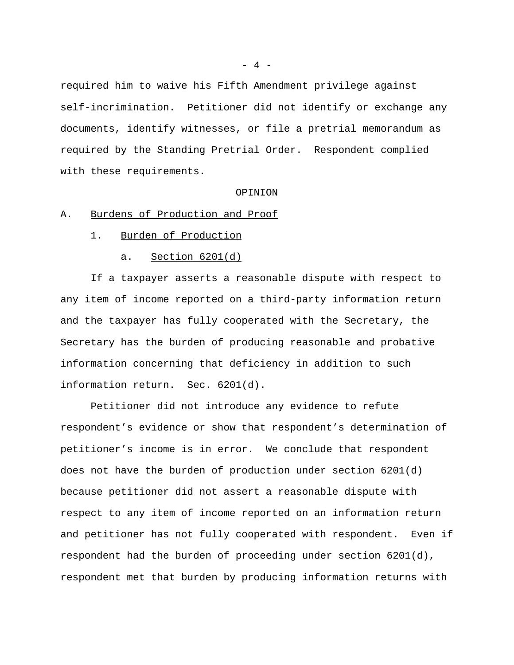required him to waive his Fifth Amendment privilege against self-incrimination. Petitioner did not identify or exchange any documents, identify witnesses, or file a pretrial memorandum as required by the Standing Pretrial Order. Respondent complied with these requirements.

#### OPINION

#### A. Burdens of Production and Proof

- 1. Burden of Production
	- a. Section 6201(d)

If a taxpayer asserts a reasonable dispute with respect to any item of income reported on a third-party information return and the taxpayer has fully cooperated with the Secretary, the Secretary has the burden of producing reasonable and probative information concerning that deficiency in addition to such information return. Sec. 6201(d).

Petitioner did not introduce any evidence to refute respondent's evidence or show that respondent's determination of petitioner's income is in error. We conclude that respondent does not have the burden of production under section 6201(d) because petitioner did not assert a reasonable dispute with respect to any item of income reported on an information return and petitioner has not fully cooperated with respondent. Even if respondent had the burden of proceeding under section 6201(d), respondent met that burden by producing information returns with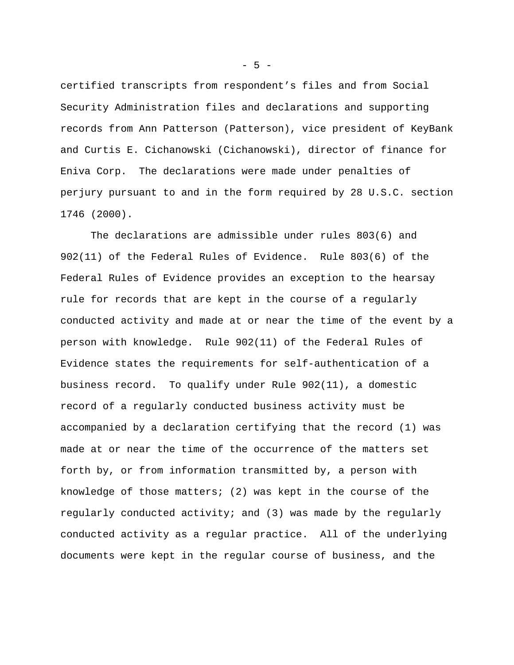certified transcripts from respondent's files and from Social Security Administration files and declarations and supporting records from Ann Patterson (Patterson), vice president of KeyBank and Curtis E. Cichanowski (Cichanowski), director of finance for Eniva Corp. The declarations were made under penalties of perjury pursuant to and in the form required by 28 U.S.C. section 1746 (2000).

The declarations are admissible under rules 803(6) and 902(11) of the Federal Rules of Evidence. Rule 803(6) of the Federal Rules of Evidence provides an exception to the hearsay rule for records that are kept in the course of a regularly conducted activity and made at or near the time of the event by a person with knowledge. Rule 902(11) of the Federal Rules of Evidence states the requirements for self-authentication of a business record. To qualify under Rule 902(11), a domestic record of a regularly conducted business activity must be accompanied by a declaration certifying that the record (1) was made at or near the time of the occurrence of the matters set forth by, or from information transmitted by, a person with knowledge of those matters; (2) was kept in the course of the regularly conducted activity; and (3) was made by the regularly conducted activity as a regular practice. All of the underlying documents were kept in the regular course of business, and the

 $-5 -$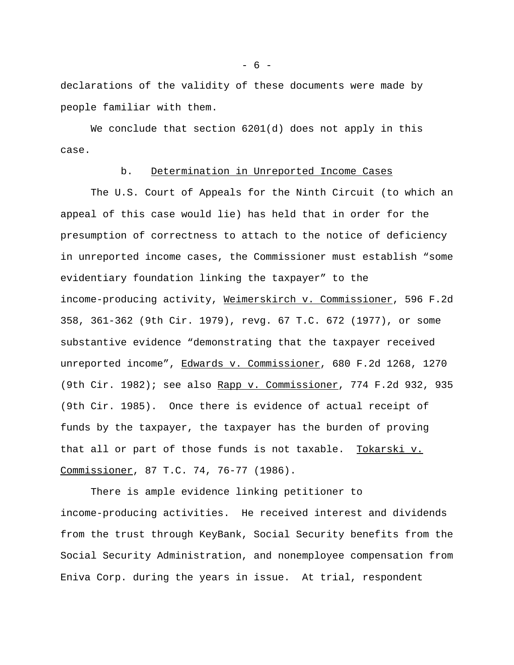declarations of the validity of these documents were made by people familiar with them.

We conclude that section 6201(d) does not apply in this case.

### b. Determination in Unreported Income Cases

The U.S. Court of Appeals for the Ninth Circuit (to which an appeal of this case would lie) has held that in order for the presumption of correctness to attach to the notice of deficiency in unreported income cases, the Commissioner must establish "some evidentiary foundation linking the taxpayer" to the income-producing activity, Weimerskirch v. Commissioner, 596 F.2d 358, 361-362 (9th Cir. 1979), revg. 67 T.C. 672 (1977), or some substantive evidence "demonstrating that the taxpayer received unreported income", Edwards v. Commissioner, 680 F.2d 1268, 1270 (9th Cir. 1982); see also Rapp v. Commissioner, 774 F.2d 932, 935 (9th Cir. 1985). Once there is evidence of actual receipt of funds by the taxpayer, the taxpayer has the burden of proving that all or part of those funds is not taxable. Tokarski v. Commissioner, 87 T.C. 74, 76-77 (1986).

There is ample evidence linking petitioner to income-producing activities. He received interest and dividends from the trust through KeyBank, Social Security benefits from the Social Security Administration, and nonemployee compensation from Eniva Corp. during the years in issue. At trial, respondent

- 6 -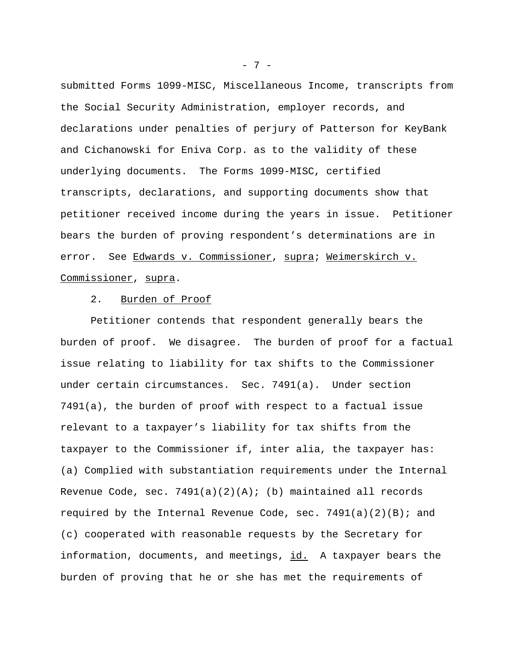submitted Forms 1099-MISC, Miscellaneous Income, transcripts from the Social Security Administration, employer records, and declarations under penalties of perjury of Patterson for KeyBank and Cichanowski for Eniva Corp. as to the validity of these underlying documents. The Forms 1099-MISC, certified transcripts, declarations, and supporting documents show that petitioner received income during the years in issue. Petitioner bears the burden of proving respondent's determinations are in error. See Edwards v. Commissioner, supra; Weimerskirch v. Commissioner, supra.

## 2. Burden of Proof

Petitioner contends that respondent generally bears the burden of proof. We disagree. The burden of proof for a factual issue relating to liability for tax shifts to the Commissioner under certain circumstances. Sec. 7491(a). Under section 7491(a), the burden of proof with respect to a factual issue relevant to a taxpayer's liability for tax shifts from the taxpayer to the Commissioner if, inter alia, the taxpayer has: (a) Complied with substantiation requirements under the Internal Revenue Code, sec.  $7491(a)(2)(A)$ ; (b) maintained all records required by the Internal Revenue Code, sec. 7491(a)(2)(B); and (c) cooperated with reasonable requests by the Secretary for information, documents, and meetings, id. A taxpayer bears the burden of proving that he or she has met the requirements of

- 7 -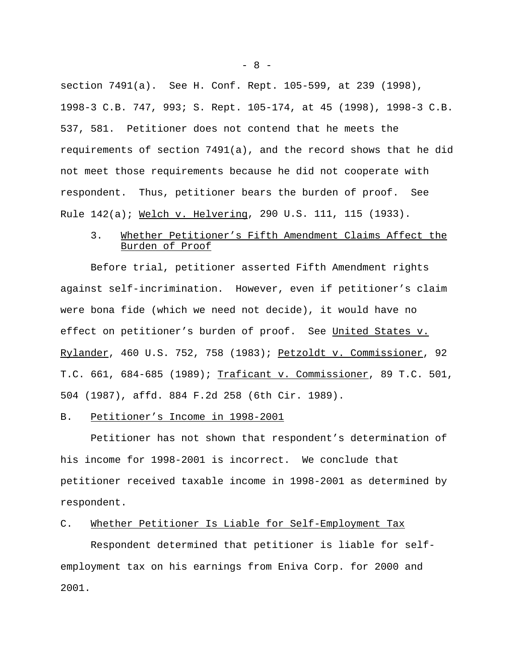section 7491(a). See H. Conf. Rept. 105-599, at 239 (1998), 1998-3 C.B. 747, 993; S. Rept. 105-174, at 45 (1998), 1998-3 C.B. 537, 581. Petitioner does not contend that he meets the requirements of section 7491(a), and the record shows that he did not meet those requirements because he did not cooperate with respondent. Thus, petitioner bears the burden of proof. See Rule 142(a); Welch v. Helvering, 290 U.S. 111, 115 (1933).

# 3. Whether Petitioner's Fifth Amendment Claims Affect the Burden of Proof

Before trial, petitioner asserted Fifth Amendment rights against self-incrimination. However, even if petitioner's claim were bona fide (which we need not decide), it would have no effect on petitioner's burden of proof. See United States v. Rylander, 460 U.S. 752, 758 (1983); Petzoldt v. Commissioner, 92 T.C. 661, 684-685 (1989); Traficant v. Commissioner, 89 T.C. 501, 504 (1987), affd. 884 F.2d 258 (6th Cir. 1989).

#### B. Petitioner's Income in 1998-2001

Petitioner has not shown that respondent's determination of his income for 1998-2001 is incorrect. We conclude that petitioner received taxable income in 1998-2001 as determined by respondent.

## C. Whether Petitioner Is Liable for Self-Employment Tax

Respondent determined that petitioner is liable for selfemployment tax on his earnings from Eniva Corp. for 2000 and 2001.

 $- 8 -$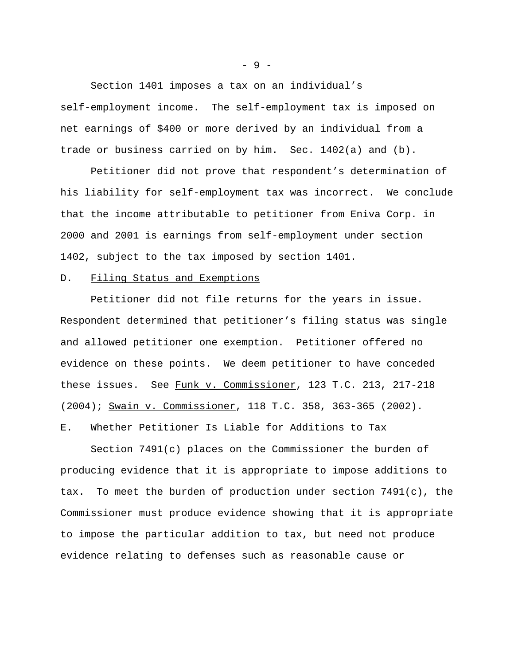Section 1401 imposes a tax on an individual's self-employment income. The self-employment tax is imposed on net earnings of \$400 or more derived by an individual from a trade or business carried on by him. Sec. 1402(a) and (b).

Petitioner did not prove that respondent's determination of his liability for self-employment tax was incorrect. We conclude that the income attributable to petitioner from Eniva Corp. in 2000 and 2001 is earnings from self-employment under section 1402, subject to the tax imposed by section 1401.

## D. Filing Status and Exemptions

Petitioner did not file returns for the years in issue. Respondent determined that petitioner's filing status was single and allowed petitioner one exemption. Petitioner offered no evidence on these points. We deem petitioner to have conceded these issues. See Funk v. Commissioner, 123 T.C. 213, 217-218 (2004); Swain v. Commissioner, 118 T.C. 358, 363-365 (2002).

### E. Whether Petitioner Is Liable for Additions to Tax

Section 7491(c) places on the Commissioner the burden of producing evidence that it is appropriate to impose additions to tax. To meet the burden of production under section 7491(c), the Commissioner must produce evidence showing that it is appropriate to impose the particular addition to tax, but need not produce evidence relating to defenses such as reasonable cause or

- 9 -